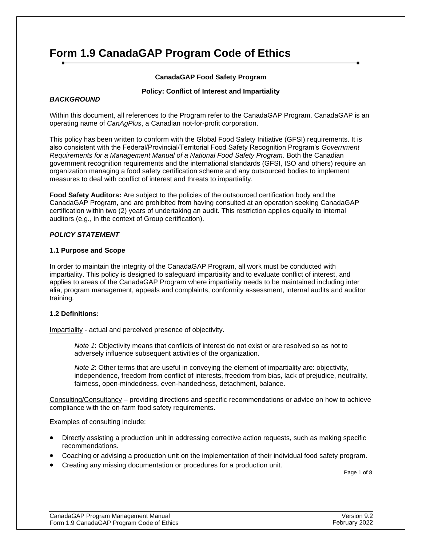# **Form 1.9 CanadaGAP Program Code of Ethics**

# **CanadaGAP Food Safety Program**

#### **Policy: Conflict of Interest and Impartiality**

#### *BACKGROUND*

Within this document, all references to the Program refer to the CanadaGAP Program. CanadaGAP is an operating name of *CanAgPlus*, a Canadian not-for-profit corporation.

This policy has been written to conform with the Global Food Safety Initiative (GFSI) requirements. It is also consistent with the Federal/Provincial/Territorial Food Safety Recognition Program's *Government Requirements for a Management Manual of a National Food Safety Program*. Both the Canadian government recognition requirements and the international standards (GFSI, ISO and others) require an organization managing a food safety certification scheme and any outsourced bodies to implement measures to deal with conflict of interest and threats to impartiality.

**Food Safety Auditors:** Are subject to the policies of the outsourced certification body and the CanadaGAP Program, and are prohibited from having consulted at an operation seeking CanadaGAP certification within two (2) years of undertaking an audit. This restriction applies equally to internal auditors (e.g., in the context of Group certification).

#### *POLICY STATEMENT*

#### **1.1 Purpose and Scope**

In order to maintain the integrity of the CanadaGAP Program, all work must be conducted with impartiality. This policy is designed to safeguard impartiality and to evaluate conflict of interest, and applies to areas of the CanadaGAP Program where impartiality needs to be maintained including inter alia, program management, appeals and complaints, conformity assessment, internal audits and auditor training.

#### **1.2 Definitions:**

Impartiality - actual and perceived presence of objectivity.

*Note 1*: Objectivity means that conflicts of interest do not exist or are resolved so as not to adversely influence subsequent activities of the organization.

*Note 2*: Other terms that are useful in conveying the element of impartiality are: objectivity, independence, freedom from conflict of interests, freedom from bias, lack of prejudice, neutrality, fairness, open-mindedness, even-handedness, detachment, balance.

Consulting/Consultancy – providing directions and specific recommendations or advice on how to achieve compliance with the on-farm food safety requirements.

Examples of consulting include:

- Directly assisting a production unit in addressing corrective action requests, such as making specific recommendations.
- Coaching or advising a production unit on the implementation of their individual food safety program.
- Creating any missing documentation or procedures for a production unit.

Page 1 of 8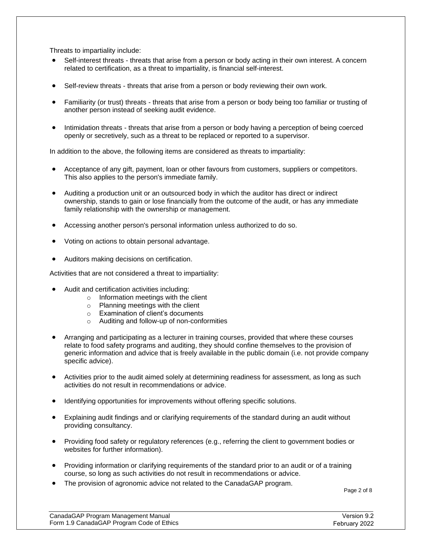Threats to impartiality include:

- Self-interest threats threats that arise from a person or body acting in their own interest. A concern related to certification, as a threat to impartiality, is financial self-interest.
- Self-review threats threats that arise from a person or body reviewing their own work.
- Familiarity (or trust) threats threats that arise from a person or body being too familiar or trusting of another person instead of seeking audit evidence.
- Intimidation threats threats that arise from a person or body having a perception of being coerced openly or secretively, such as a threat to be replaced or reported to a supervisor.

In addition to the above, the following items are considered as threats to impartiality:

- Acceptance of any gift, payment, loan or other favours from customers, suppliers or competitors. This also applies to the person's immediate family.
- Auditing a production unit or an outsourced body in which the auditor has direct or indirect ownership, stands to gain or lose financially from the outcome of the audit, or has any immediate family relationship with the ownership or management.
- Accessing another person's personal information unless authorized to do so.
- Voting on actions to obtain personal advantage.
- Auditors making decisions on certification.

Activities that are not considered a threat to impartiality:

- Audit and certification activities including:
	- o Information meetings with the client
	- o Planning meetings with the client
	- o Examination of client's documents
	- o Auditing and follow-up of non-conformities
- Arranging and participating as a lecturer in training courses, provided that where these courses relate to food safety programs and auditing, they should confine themselves to the provision of generic information and advice that is freely available in the public domain (i.e. not provide company specific advice).
- Activities prior to the audit aimed solely at determining readiness for assessment, as long as such activities do not result in recommendations or advice.
- Identifying opportunities for improvements without offering specific solutions.
- Explaining audit findings and or clarifying requirements of the standard during an audit without providing consultancy.
- Providing food safety or regulatory references (e.g., referring the client to government bodies or websites for further information).
- Providing information or clarifying requirements of the standard prior to an audit or of a training course, so long as such activities do not result in recommendations or advice.
- The provision of agronomic advice not related to the CanadaGAP program.

Page 2 of 8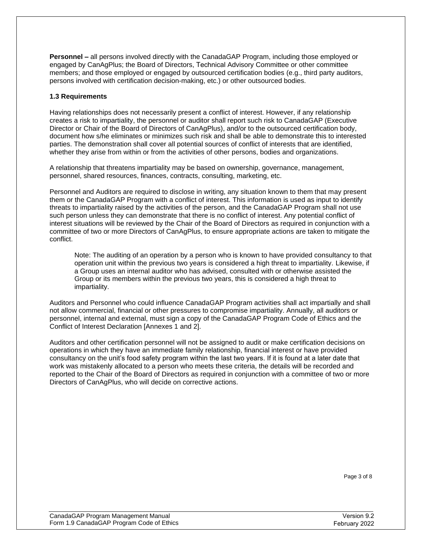**Personnel –** all persons involved directly with the CanadaGAP Program, including those employed or engaged by CanAgPlus; the Board of Directors, Technical Advisory Committee or other committee members; and those employed or engaged by outsourced certification bodies (e.g., third party auditors, persons involved with certification decision-making, etc.) or other outsourced bodies.

### **1.3 Requirements**

Having relationships does not necessarily present a conflict of interest. However, if any relationship creates a risk to impartiality, the personnel or auditor shall report such risk to CanadaGAP (Executive Director or Chair of the Board of Directors of CanAgPlus), and/or to the outsourced certification body, document how s/he eliminates or minimizes such risk and shall be able to demonstrate this to interested parties. The demonstration shall cover all potential sources of conflict of interests that are identified, whether they arise from within or from the activities of other persons, bodies and organizations.

A relationship that threatens impartiality may be based on ownership, governance, management, personnel, shared resources, finances, contracts, consulting, marketing, etc.

Personnel and Auditors are required to disclose in writing, any situation known to them that may present them or the CanadaGAP Program with a conflict of interest. This information is used as input to identify threats to impartiality raised by the activities of the person, and the CanadaGAP Program shall not use such person unless they can demonstrate that there is no conflict of interest. Any potential conflict of interest situations will be reviewed by the Chair of the Board of Directors as required in conjunction with a committee of two or more Directors of CanAgPlus, to ensure appropriate actions are taken to mitigate the conflict.

Note: The auditing of an operation by a person who is known to have provided consultancy to that operation unit within the previous two years is considered a high threat to impartiality. Likewise, if a Group uses an internal auditor who has advised, consulted with or otherwise assisted the Group or its members within the previous two years, this is considered a high threat to impartiality.

Auditors and Personnel who could influence CanadaGAP Program activities shall act impartially and shall not allow commercial, financial or other pressures to compromise impartiality. Annually, all auditors or personnel, internal and external, must sign a copy of the CanadaGAP Program Code of Ethics and the Conflict of Interest Declaration [Annexes 1 and 2].

Auditors and other certification personnel will not be assigned to audit or make certification decisions on operations in which they have an immediate family relationship, financial interest or have provided consultancy on the unit's food safety program within the last two years. If it is found at a later date that work was mistakenly allocated to a person who meets these criteria, the details will be recorded and reported to the Chair of the Board of Directors as required in conjunction with a committee of two or more Directors of CanAgPlus, who will decide on corrective actions.

Page 3 of 8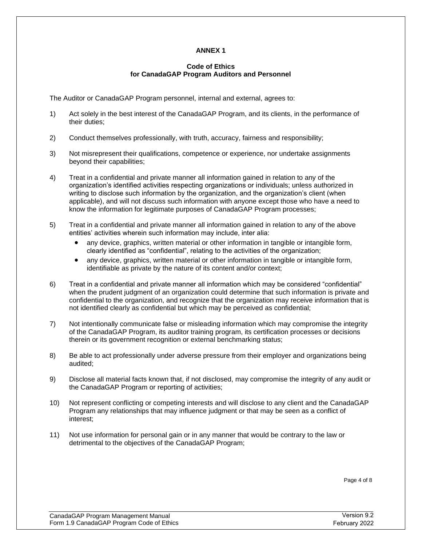# **ANNEX 1**

### **Code of Ethics for CanadaGAP Program Auditors and Personnel**

The Auditor or CanadaGAP Program personnel, internal and external, agrees to:

- 1) Act solely in the best interest of the CanadaGAP Program, and its clients, in the performance of their duties;
- 2) Conduct themselves professionally, with truth, accuracy, fairness and responsibility;
- 3) Not misrepresent their qualifications, competence or experience, nor undertake assignments beyond their capabilities;
- 4) Treat in a confidential and private manner all information gained in relation to any of the organization's identified activities respecting organizations or individuals; unless authorized in writing to disclose such information by the organization, and the organization's client (when applicable), and will not discuss such information with anyone except those who have a need to know the information for legitimate purposes of CanadaGAP Program processes;
- 5) Treat in a confidential and private manner all information gained in relation to any of the above entities' activities wherein such information may include, inter alia:
	- any device, graphics, written material or other information in tangible or intangible form, clearly identified as "confidential", relating to the activities of the organization;
	- any device, graphics, written material or other information in tangible or intangible form, identifiable as private by the nature of its content and/or context;
- 6) Treat in a confidential and private manner all information which may be considered "confidential" when the prudent judgment of an organization could determine that such information is private and confidential to the organization, and recognize that the organization may receive information that is not identified clearly as confidential but which may be perceived as confidential;
- 7) Not intentionally communicate false or misleading information which may compromise the integrity of the CanadaGAP Program, its auditor training program, its certification processes or decisions therein or its government recognition or external benchmarking status;
- 8) Be able to act professionally under adverse pressure from their employer and organizations being audited;
- 9) Disclose all material facts known that, if not disclosed, may compromise the integrity of any audit or the CanadaGAP Program or reporting of activities;
- 10) Not represent conflicting or competing interests and will disclose to any client and the CanadaGAP Program any relationships that may influence judgment or that may be seen as a conflict of interest;
- 11) Not use information for personal gain or in any manner that would be contrary to the law or detrimental to the objectives of the CanadaGAP Program;

Page 4 of 8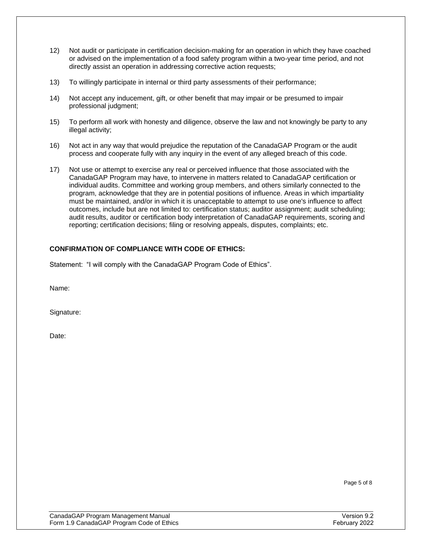- 12) Not audit or participate in certification decision-making for an operation in which they have coached or advised on the implementation of a food safety program within a two-year time period, and not directly assist an operation in addressing corrective action requests;
- 13) To willingly participate in internal or third party assessments of their performance;
- 14) Not accept any inducement, gift, or other benefit that may impair or be presumed to impair professional judgment;
- 15) To perform all work with honesty and diligence, observe the law and not knowingly be party to any illegal activity;
- 16) Not act in any way that would prejudice the reputation of the CanadaGAP Program or the audit process and cooperate fully with any inquiry in the event of any alleged breach of this code.
- 17) Not use or attempt to exercise any real or perceived influence that those associated with the CanadaGAP Program may have, to intervene in matters related to CanadaGAP certification or individual audits. Committee and working group members, and others similarly connected to the program, acknowledge that they are in potential positions of influence. Areas in which impartiality must be maintained, and/or in which it is unacceptable to attempt to use one's influence to affect outcomes, include but are not limited to: certification status; auditor assignment; audit scheduling; audit results, auditor or certification body interpretation of CanadaGAP requirements, scoring and reporting; certification decisions; filing or resolving appeals, disputes, complaints; etc.

# **CONFIRMATION OF COMPLIANCE WITH CODE OF ETHICS:**

Statement: "I will comply with the CanadaGAP Program Code of Ethics".

Name:

Signature:

Date:

Page 5 of 8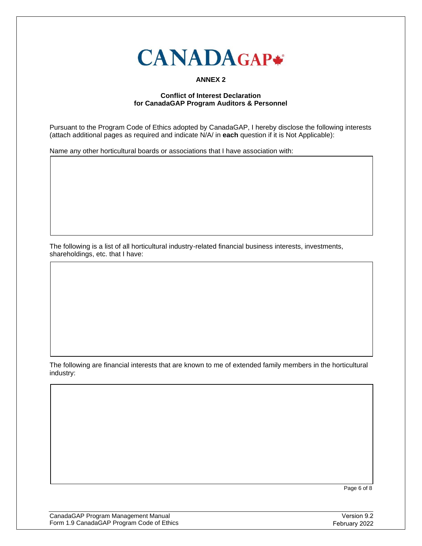

# **ANNEX 2**

# **Conflict of Interest Declaration for CanadaGAP Program Auditors & Personnel**

Pursuant to the Program Code of Ethics adopted by CanadaGAP, I hereby disclose the following interests (attach additional pages as required and indicate N/A/ in **each** question if it is Not Applicable):

Name any other horticultural boards or associations that I have association with:

The following is a list of all horticultural industry-related financial business interests, investments, shareholdings, etc. that I have:

The following are financial interests that are known to me of extended family members in the horticultural industry:

Page 6 of 8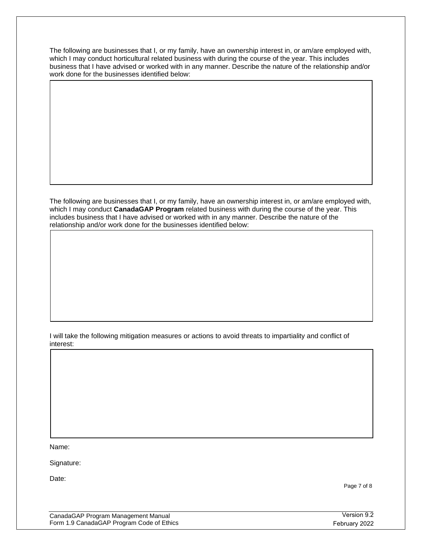The following are businesses that I, or my family, have an ownership interest in, or am/are employed with, which I may conduct horticultural related business with during the course of the year. This includes business that I have advised or worked with in any manner. Describe the nature of the relationship and/or work done for the businesses identified below:

The following are businesses that I, or my family, have an ownership interest in, or am/are employed with, which I may conduct **CanadaGAP Program** related business with during the course of the year. This includes business that I have advised or worked with in any manner. Describe the nature of the relationship and/or work done for the businesses identified below:

I will take the following mitigation measures or actions to avoid threats to impartiality and conflict of interest:

Name:

Signature:

Date:

Page 7 of 8

| CanadaGAP Program Management Manual       |  |
|-------------------------------------------|--|
| Form 1.9 CanadaGAP Program Code of Ethics |  |